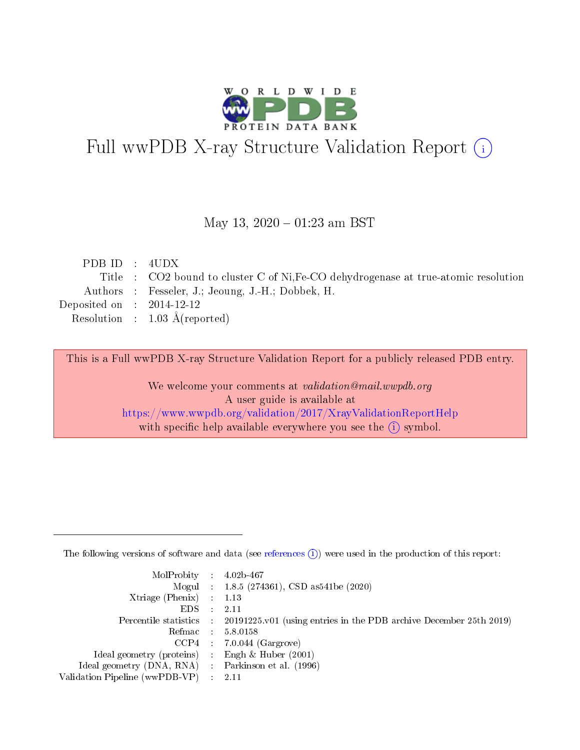

# Full wwPDB X-ray Structure Validation Report (i)

#### May 13,  $2020 - 01:23$  am BST

| PDBID : 4UDX                |                                                                                     |
|-----------------------------|-------------------------------------------------------------------------------------|
|                             | Title : CO2 bound to cluster C of Ni, Fe-CO dehydrogenase at true-atomic resolution |
|                             | Authors : Fesseler, J.; Jeoung, J.-H.; Dobbek, H.                                   |
| Deposited on : $2014-12-12$ |                                                                                     |
|                             | Resolution : $1.03 \text{ Å}$ (reported)                                            |
|                             |                                                                                     |

This is a Full wwPDB X-ray Structure Validation Report for a publicly released PDB entry.

We welcome your comments at validation@mail.wwpdb.org A user guide is available at <https://www.wwpdb.org/validation/2017/XrayValidationReportHelp> with specific help available everywhere you see the  $(i)$  symbol.

The following versions of software and data (see [references](https://www.wwpdb.org/validation/2017/XrayValidationReportHelp#references)  $(1)$ ) were used in the production of this report:

| $MolProbability$ : 4.02b-467                      |               |                                                                                            |
|---------------------------------------------------|---------------|--------------------------------------------------------------------------------------------|
|                                                   |               | Mogul : $1.8.5$ (274361), CSD as 541be (2020)                                              |
| Xtriage (Phenix) $: 1.13$                         |               |                                                                                            |
| EDS –                                             | $\mathcal{A}$ | -2.11                                                                                      |
|                                                   |               | Percentile statistics : 20191225.v01 (using entries in the PDB archive December 25th 2019) |
| Refmac : 5.8.0158                                 |               |                                                                                            |
|                                                   |               | $CCP4$ : 7.0.044 (Gargrove)                                                                |
| Ideal geometry (proteins) :                       |               | Engh $\&$ Huber (2001)                                                                     |
| Ideal geometry (DNA, RNA) Parkinson et al. (1996) |               |                                                                                            |
| Validation Pipeline (wwPDB-VP) : 2.11             |               |                                                                                            |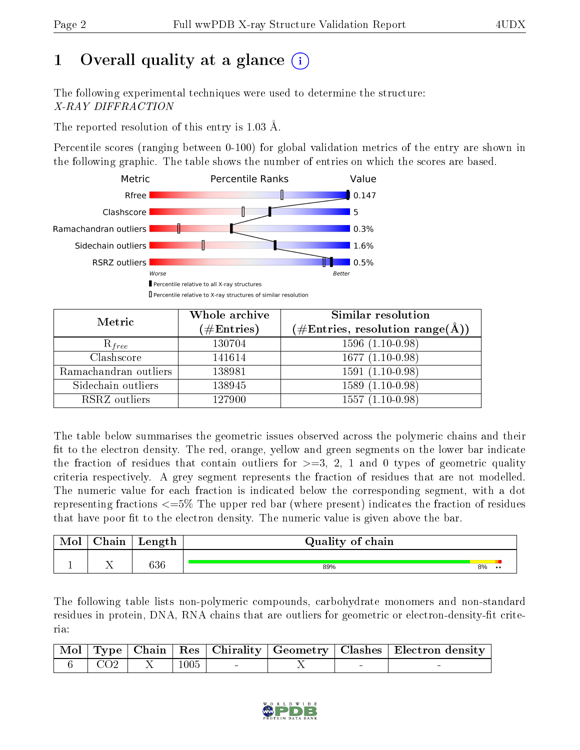## 1 [O](https://www.wwpdb.org/validation/2017/XrayValidationReportHelp#overall_quality)verall quality at a glance  $(i)$

The following experimental techniques were used to determine the structure: X-RAY DIFFRACTION

The reported resolution of this entry is 1.03 Å.

Percentile scores (ranging between 0-100) for global validation metrics of the entry are shown in the following graphic. The table shows the number of entries on which the scores are based.



| Metric                | Whole archive<br>$(\#\mathrm{Entries})$ | <b>Similar resolution</b><br>$(\#\text{Entries}, \text{resolution range}(\text{\AA}))$ |
|-----------------------|-----------------------------------------|----------------------------------------------------------------------------------------|
| $R_{free}$            | 130704                                  | $1596(1.10-0.98)$                                                                      |
| Clashscore            | 141614                                  | $1677(1.10-0.98)$                                                                      |
| Ramachandran outliers | 138981                                  | $1591(1.10-0.98)$                                                                      |
| Sidechain outliers    | 138945                                  | $1589(1.10-0.98)$                                                                      |
| RSRZ outliers         | 127900                                  | $1557(1.10-0.98)$                                                                      |

The table below summarises the geometric issues observed across the polymeric chains and their fit to the electron density. The red, orange, yellow and green segments on the lower bar indicate the fraction of residues that contain outliers for  $>=3, 2, 1$  and 0 types of geometric quality criteria respectively. A grey segment represents the fraction of residues that are not modelled. The numeric value for each fraction is indicated below the corresponding segment, with a dot representing fractions <=5% The upper red bar (where present) indicates the fraction of residues that have poor fit to the electron density. The numeric value is given above the bar.

| Mol | ${\bf Chain}$ | Length | Quality of chain |    |                  |
|-----|---------------|--------|------------------|----|------------------|
|     |               | 636    | 89%              | 8% | $\bullet\bullet$ |

The following table lists non-polymeric compounds, carbohydrate monomers and non-standard residues in protein, DNA, RNA chains that are outliers for geometric or electron-density-fit criteria:

|  |                             |      |  | Mol   Type   Chain   Res   Chirality   Geometry   Clashes   Electron density |
|--|-----------------------------|------|--|------------------------------------------------------------------------------|
|  | $6 \div 6$ $CO2$ $X \div 7$ | 1005 |  |                                                                              |

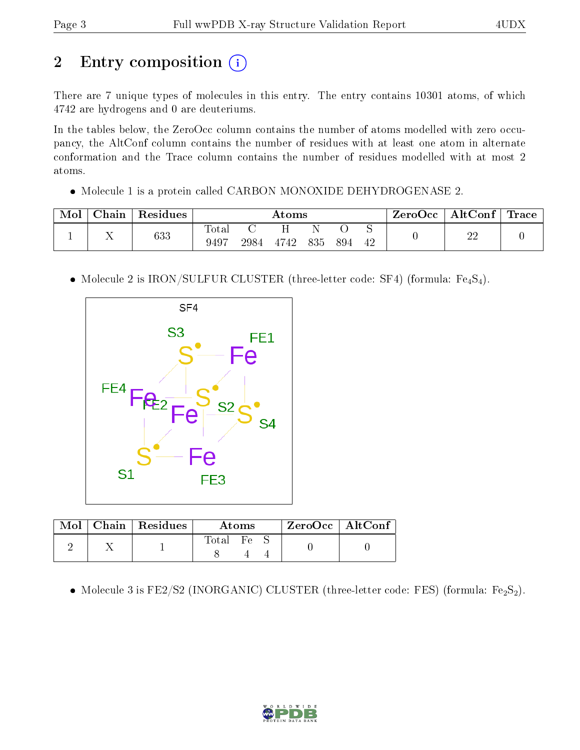# 2 Entry composition (i)

There are 7 unique types of molecules in this entry. The entry contains 10301 atoms, of which 4742 are hydrogens and 0 are deuteriums.

In the tables below, the ZeroOcc column contains the number of atoms modelled with zero occupancy, the AltConf column contains the number of residues with at least one atom in alternate conformation and the Trace column contains the number of residues modelled with at most 2 atoms.

Molecule 1 is a protein called CARBON MONOXIDE DEHYDROGENASE 2.

| Mol | Chain              | Residues |                           | Atoms |      |     |     | ZeroOcc | AltConf | $\lq$ Trace |  |
|-----|--------------------|----------|---------------------------|-------|------|-----|-----|---------|---------|-------------|--|
|     | $\mathbf{r}$<br>∡⊾ | 633      | Tota <sub>1</sub><br>9497 | 2984  | 4742 | 835 | 894 | 42      |         | ഹ<br>44     |  |

• Molecule 2 is IRON/SULFUR CLUSTER (three-letter code: SF4) (formula:  $Fe_4S_4$ ).



|  | $\text{Mol}$   Chain   Residues | Atoms |                  |  | $ZeroOcc$   AltConf |  |
|--|---------------------------------|-------|------------------|--|---------------------|--|
|  |                                 | Total | $F_{\mathsf{P}}$ |  |                     |  |

 $\bullet$  Molecule 3 is FE2/S2 (INORGANIC) CLUSTER (three-letter code: FES) (formula: Fe<sub>2</sub>S<sub>2</sub>).

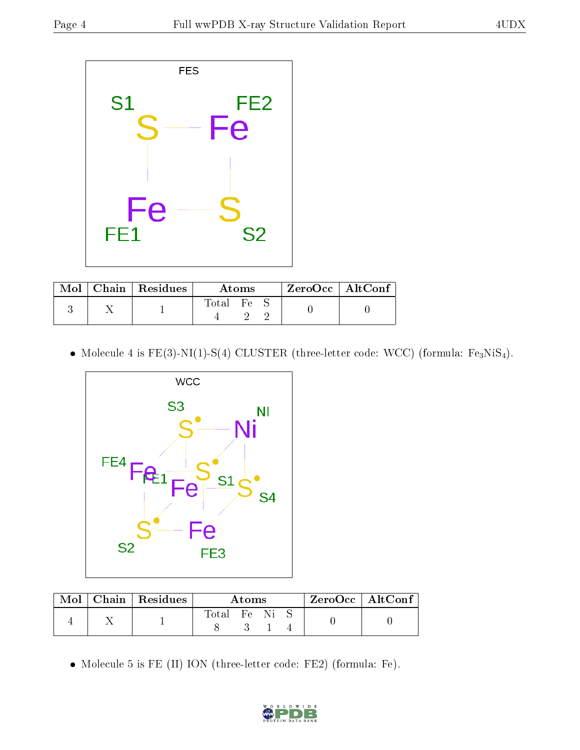

|  | $Mol$   Chain   Residues | Atoms       |                  |  | ZeroOcc   AltConf |  |
|--|--------------------------|-------------|------------------|--|-------------------|--|
|  |                          | $\rm Total$ | $F_{\mathbf{C}}$ |  |                   |  |

• Molecule 4 is  $FE(3)-NI(1)-S(4)$  CLUSTER (three-letter code: WCC) (formula:  $Fe<sub>3</sub>NiS<sub>4</sub>$ ).



| Mol | $\mid$ Chain $\mid$ Residues | Atoms       |  |  |  | $ZeroOcc \   \$ AltConf |
|-----|------------------------------|-------------|--|--|--|-------------------------|
|     |                              | Total Fe Ni |  |  |  |                         |
|     |                              |             |  |  |  |                         |

Molecule 5 is FE (II) ION (three-letter code: FE2) (formula: Fe).

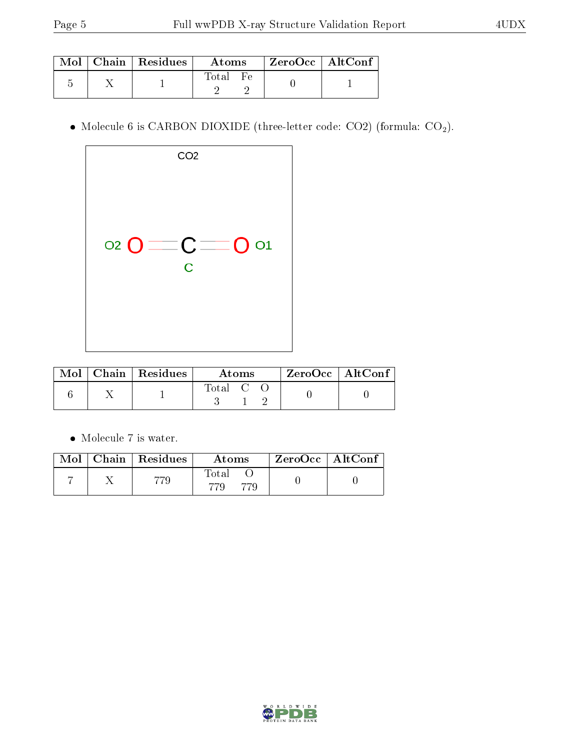|  | $\text{Mol}$   Chain   Residues | Atoms                     | $\vert$ ZeroOcc $\vert$ AltConf |  |
|--|---------------------------------|---------------------------|---------------------------------|--|
|  |                                 | $F_{\mathbf{P}}$<br>Total |                                 |  |

• Molecule 6 is CARBON DIOXIDE (three-letter code: CO2) (formula:  $CO<sub>2</sub>$ ).

| CO <sub>2</sub>                  |  |
|----------------------------------|--|
| $O = C = 0$ or<br>$\overline{C}$ |  |

|  | $\text{Mol}$   Chain   Residues | Atoms |  |  | $ZeroOcc \mid AltConf$ |  |
|--|---------------------------------|-------|--|--|------------------------|--|
|  |                                 | Total |  |  |                        |  |

 $\bullet\,$  Molecule 7 is water.

|  | Mol   Chain   Residues | Atoms | $^\shortparallel$ ZeroOcc $\mid$ AltConf $^\shortparallel$ |  |
|--|------------------------|-------|------------------------------------------------------------|--|
|  |                        | Total |                                                            |  |

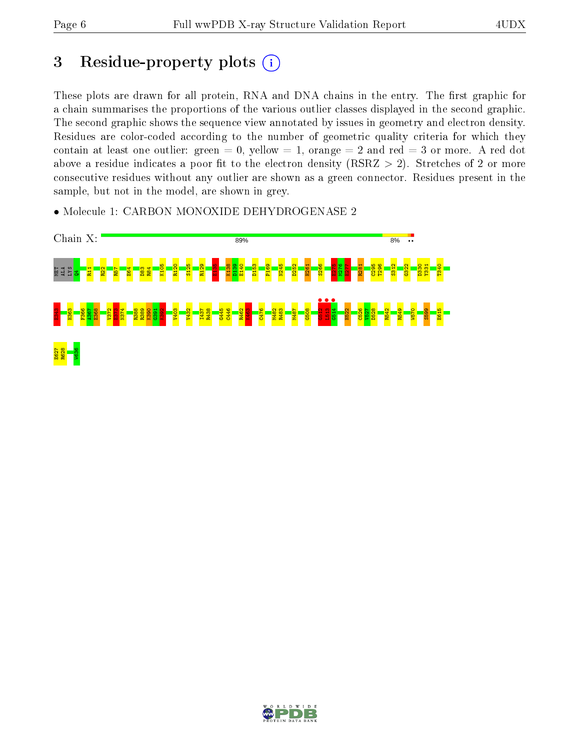## 3 Residue-property plots  $(i)$

These plots are drawn for all protein, RNA and DNA chains in the entry. The first graphic for a chain summarises the proportions of the various outlier classes displayed in the second graphic. The second graphic shows the sequence view annotated by issues in geometry and electron density. Residues are color-coded according to the number of geometric quality criteria for which they contain at least one outlier: green  $= 0$ , yellow  $= 1$ , orange  $= 2$  and red  $= 3$  or more. A red dot above a residue indicates a poor fit to the electron density (RSRZ  $> 2$ ). Stretches of 2 or more consecutive residues without any outlier are shown as a green connector. Residues present in the sample, but not in the model, are shown in grey.

• Molecule 1: CARBON MONOXIDE DEHYDROGENASE 2



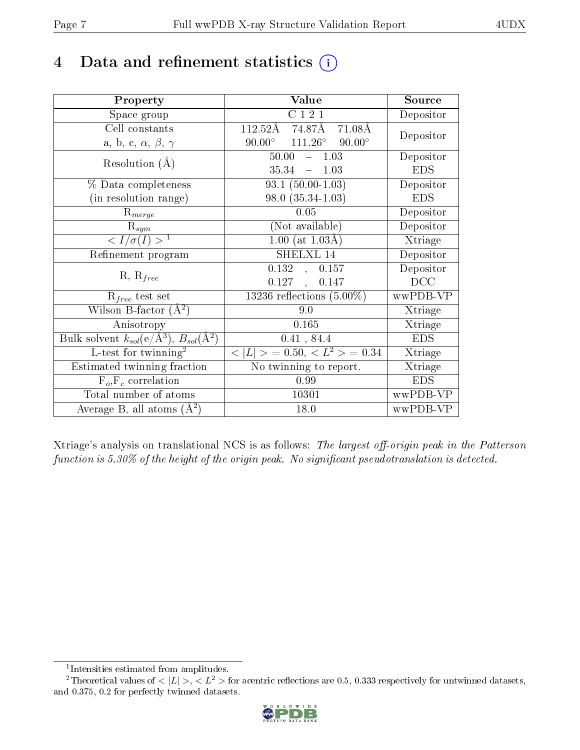## 4 Data and refinement statistics  $(i)$

| Property                                                             | Value                                             | Source     |
|----------------------------------------------------------------------|---------------------------------------------------|------------|
| Space group                                                          | C 1 2 1                                           | Depositor  |
| Cell constants                                                       | $112.52\text{\AA}$<br>74.87Å<br>$71.08\text{\AA}$ | Depositor  |
| a, b, c, $\alpha$ , $\beta$ , $\gamma$                               | $111.26^{\circ}$ 90.00°<br>$90.00^{\circ}$        |            |
| Resolution $(A)$                                                     | 50.00<br>$-1.03$                                  | Depositor  |
|                                                                      | 35.34<br>$-1.03$                                  | <b>EDS</b> |
| % Data completeness                                                  | $93.1 (50.00 - 1.03)$                             | Depositor  |
| (in resolution range)                                                | $98.0(35.34-1.03)$                                | <b>EDS</b> |
| $R_{merge}$                                                          | 0.05                                              | Depositor  |
| $\mathrm{R}_{sym}$                                                   | (Not available)                                   | Depositor  |
| $\langle I/\sigma(I) \rangle^{-1}$                                   | $1.00$ (at $1.03\text{\AA}$ )                     | Xtriage    |
| Refinement program                                                   | SHELXL 14                                         | Depositor  |
| $R, R_{free}$                                                        | 0.132, 0.157                                      | Depositor  |
|                                                                      | $0.127$ ,<br>0.147                                | DCC        |
| $R_{free}$ test set                                                  | 13236 reflections $(5.00\%)$                      | wwPDB-VP   |
| Wilson B-factor $(A^2)$                                              | 9.0                                               | Xtriage    |
| Anisotropy                                                           | 0.165                                             | Xtriage    |
| Bulk solvent $k_{sol}(e/\mathring{A}^3)$ , $B_{sol}(\mathring{A}^2)$ | 0.41, 84.4                                        | <b>EDS</b> |
| L-test for twinning <sup>2</sup>                                     | $< L >$ = 0.50, $< L^2 >$ = 0.34                  | Xtriage    |
| Estimated twinning fraction                                          | No twinning to report.                            | Xtriage    |
| $F_o, F_c$ correlation                                               | 0.99                                              | <b>EDS</b> |
| Total number of atoms                                                | 10301                                             | wwPDB-VP   |
| Average B, all atoms $(A^2)$                                         | 18.0                                              | wwPDB-VP   |

Xtriage's analysis on translational NCS is as follows: The largest off-origin peak in the Patterson function is  $5.30\%$  of the height of the origin peak. No significant pseudotranslation is detected.

<sup>&</sup>lt;sup>2</sup>Theoretical values of  $\langle |L| \rangle$ ,  $\langle L^2 \rangle$  for acentric reflections are 0.5, 0.333 respectively for untwinned datasets, and 0.375, 0.2 for perfectly twinned datasets.



<span id="page-6-1"></span><span id="page-6-0"></span><sup>1</sup> Intensities estimated from amplitudes.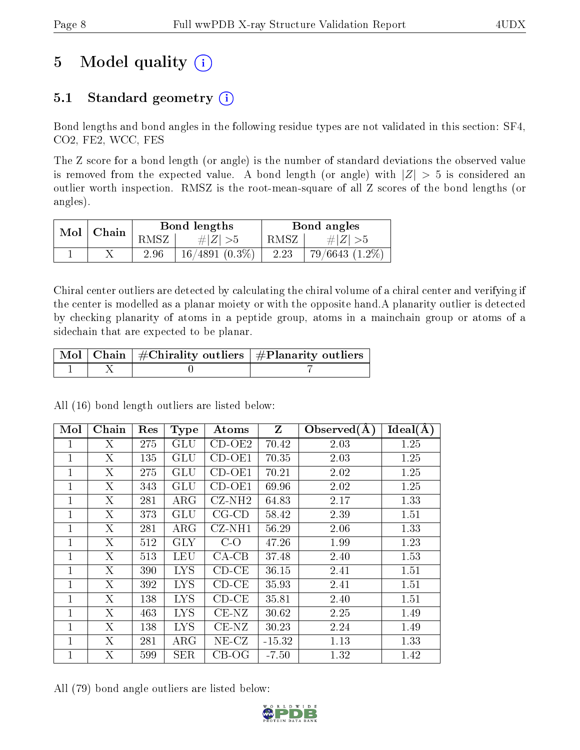## 5 Model quality  $(i)$

### 5.1 Standard geometry (i)

Bond lengths and bond angles in the following residue types are not validated in this section: SF4, CO2, FE2, WCC, FES

The Z score for a bond length (or angle) is the number of standard deviations the observed value is removed from the expected value. A bond length (or angle) with  $|Z| > 5$  is considered an outlier worth inspection. RMSZ is the root-mean-square of all Z scores of the bond lengths (or angles).

|               | Bond lengths |                  | Bond angles |                  |
|---------------|--------------|------------------|-------------|------------------|
| $Mol$   Chain | <b>RMSZ</b>  | # $ Z  > 5$      | RMSZ        | # Z  > 5         |
|               | 2.96         | $16/4891(0.3\%)$ | 2.23        | $79/6643(1.2\%)$ |

Chiral center outliers are detected by calculating the chiral volume of a chiral center and verifying if the center is modelled as a planar moiety or with the opposite hand.A planarity outlier is detected by checking planarity of atoms in a peptide group, atoms in a mainchain group or atoms of a sidechain that are expected to be planar.

|  | $\mid$ Mol $\mid$ Chain $\mid$ #Chirality outliers $\mid$ #Planarity outliers $\mid$ |
|--|--------------------------------------------------------------------------------------|
|  |                                                                                      |

Mol | Chain | Res | Type | Atoms |  $Z$  | Observed( $\AA$ ) | Ideal( $\AA$ ) 1 | X | 275 | GLU | CD-OE2 | 70.42 | 2.03 | 1.25 1 | X | 135 | GLU | CD-OE1 | 70.35 | 2.03 | 1.25 1 | X | 275 | GLU | CD-OE1 | 70.21 | 2.02 | 1.25  $1 \mid X \mid 343 \mid \text{GLU} \mid \text{CD-OE1} \mid 69.96 \mid 2.02 \mid 1.25$ 1 | X | 281 | ARG | CZ-NH2 | 64.83 | 2.17 | 1.33  $1 \mid X \mid 373 \mid \text{GLU} \mid \text{CG-CD} \mid 58.42 \mid 2.39 \mid 1.51$ 1 | X | 281 | ARG | CZ-NH1 | 56.29 | 2.06 | 1.33 1 | X | 512 | GLY | C-O | 47.26 | 1.99 | 1.23 1 | X | 513 | LEU | CA-CB | 37.48 | 2.40 | 1.53 1 | X | 390 | LYS | CD-CE | 36.15 | 2.41 | 1.51 1 | X | 392 | LYS | CD-CE | 35.93 | 2.41 | 1.51 1 | X | 138 | LYS | CD-CE | 35.81 | 2.40 | 1.51 1 | X | 463 | LYS | CE-NZ | 30.62 | 2.25 | 1.49 1 | X | 138 | LYS | CE-NZ | 30.23 | 2.24 | 1.49  $1 \mid X \mid 281 \mid \text{ARG} \mid \text{NE-CC} \mid -15.32 \mid 1.13 \mid 1.33$ 1 | X | 599 | SER | CB-OG | -7.50 | 1.32 | 1.42

All (16) bond length outliers are listed below:

All (79) bond angle outliers are listed below:

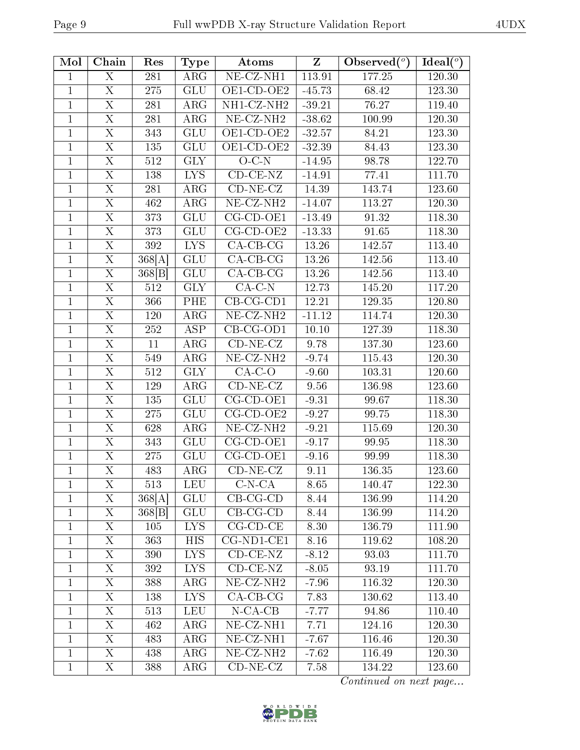| Mol          | Chain                     | Res     | <b>Type</b>             | Atoms                                 | Z        | Observed $(°)$ | Ideal $(°)$ |
|--------------|---------------------------|---------|-------------------------|---------------------------------------|----------|----------------|-------------|
| $\mathbf{1}$ | X                         | 281     | $\overline{\rm{ARG}}$   | $\overline{\text{NE- CZ-NH1}}$        | 113.91   | 177.25         | 120.30      |
| $\mathbf{1}$ | $\overline{\mathrm{X}}$   | 275     | GLU                     | OE1-CD-OE2                            | $-45.73$ | 68.42          | 123.30      |
| $\mathbf{1}$ | $\mathbf X$               | 281     | ARG                     | NH1-CZ-NH2                            | $-39.21$ | 76.27          | 119.40      |
| $\mathbf{1}$ | $\overline{\mathrm{X}}$   | 281     | ARG                     | NE-CZ-NH <sub>2</sub>                 | $-38.62$ | 100.99         | 120.30      |
| $\mathbf{1}$ | X                         | 343     | <b>GLU</b>              | OE1-CD-OE2                            | $-32.57$ | 84.21          | 123.30      |
| $\mathbf{1}$ | $\overline{\mathrm{X}}$   | 135     | GLU                     | $OE1$ -CD-OE2                         | $-32.39$ | 84.43          | 123.30      |
| $\mathbf{1}$ | $\mathbf X$               | 512     | <b>GLY</b>              | $O$ $C$ - $N$                         | $-14.95$ | 98.78          | 122.70      |
| $\mathbf{1}$ | $\overline{\mathrm{X}}$   | 138     | <b>LYS</b>              | $CD-CE-NZ$                            | $-14.91$ | 77.41          | 111.70      |
| $\mathbf{1}$ | $\overline{\mathrm{X}}$   | 281     | $\overline{\text{ARG}}$ | $CD-NE- CZ$                           | 14.39    | 143.74         | 123.60      |
| $\mathbf{1}$ | $\overline{\rm X}$        | 462     | ARG                     | $\overline{\text{NE- CZ-NH2}}$        | $-14.07$ | 113.27         | 120.30      |
| $\mathbf{1}$ | X                         | 373     | <b>GLU</b>              | CG-CD-OE1                             | $-13.49$ | 91.32          | 118.30      |
| $\mathbf{1}$ | $\mathbf X$               | 373     | <b>GLU</b>              | $CG$ - $CD$ - $OE2$                   | $-13.33$ | 91.65          | 118.30      |
| $\mathbf{1}$ | X                         | 392     | <b>LYS</b>              | $CA-CB-CG$                            | 13.26    | 142.57         | 113.40      |
| $\mathbf{1}$ | $\overline{\mathrm{X}}$   | 368[A]  | <b>GLU</b>              | $CA-CB-CG$                            | 13.26    | 142.56         | 113.40      |
| $\mathbf{1}$ | X                         | 368 B   | <b>GLU</b>              | $CA-CB-CG$                            | 13.26    | 142.56         | 113.40      |
| $\mathbf{1}$ | $\overline{\mathrm{X}}$   | 512     | $\overline{\text{GLY}}$ | $CA-C-N$                              | 12.73    | 145.20         | 117.20      |
| $\mathbf{1}$ | $\mathbf X$               | 366     | PHE                     | $CB-CG-CD1$                           | 12.21    | 129.35         | 120.80      |
| $\mathbf{1}$ | $\overline{\mathrm{X}}$   | 120     | <b>ARG</b>              | $\overline{\text{NE- CZ-N}}\text{H2}$ | $-11.12$ | 114.74         | 120.30      |
| $\mathbf{1}$ | $\overline{X}$            | 252     | <b>ASP</b>              | $CB-CG-OD1$                           | 10.10    | 127.39         | 118.30      |
| $\mathbf{1}$ | X                         | 11      | ARG                     | $CD-NE- CZ$                           | 9.78     | 137.30         | 123.60      |
| $\mathbf{1}$ | $\overline{\mathrm{X}}$   | 549     | $\rm{ARG}$              | $NE-CZ-NH2$                           | $-9.74$  | 115.43         | 120.30      |
| $\mathbf{1}$ | $\mathbf X$               | 512     | <b>GLY</b>              | $CA-C-O$                              | $-9.60$  | 103.31         | 120.60      |
| $\mathbf{1}$ | $\overline{\mathrm{X}}$   | 129     | $\rm{ARG}$              | $CD-NE- CZ$                           | 9.56     | 136.98         | 123.60      |
| $\mathbf{1}$ | X                         | 135     | <b>GLU</b>              | $\overline{CG}$ -CD-OE1               | $-9.31$  | 99.67          | 118.30      |
| $\mathbf{1}$ | $\overline{\mathrm{X}}$   | $275\,$ | <b>GLU</b>              | $CG$ - $CD$ - $OE2$                   | $-9.27$  | 99.75          | 118.30      |
| $\mathbf{1}$ | $\overline{\mathrm{X}}$   | 628     | ARG                     | $NE- CZ-NH2$                          | $-9.21$  | 115.69         | 120.30      |
| $\mathbf{1}$ | $\boldsymbol{\mathrm{X}}$ | 343     | <b>GLU</b>              | CG-CD-OE1                             | $-9.17$  | 99.95          | 118.30      |
| $\mathbf{1}$ | $\overline{\mathrm{X}}$   | 275     | GLU                     | $CG$ - $CD$ - $OE1$                   | $-9.16$  | 99.99          | 118.30      |
| $\mathbf{1}$ | $\overline{\mathrm{X}}$   | 483     | <b>ARG</b>              | $CD-NE- CZ$                           | 9.11     | 136.35         | 123.60      |
| 1            | $\rm X$                   | 513     | <b>LEU</b>              | $C-N-CA$                              | 8.65     | 140.47         | 122.30      |
| 1            | $\boldsymbol{\mathrm{X}}$ | 368[A]  | <b>GLU</b>              | $CB-CG-CD$                            | 8.44     | 136.99         | 114.20      |
| 1            | X                         | 368 B   | GLU                     | $CB-CG-CD$                            | 8.44     | 136.99         | 114.20      |
| $\mathbf{1}$ | $\overline{\mathrm{X}}$   | 105     | <b>LYS</b>              | $CG$ - $CD$ - $CE$                    | 8.30     | 136.79         | 111.90      |
| $\mathbf{1}$ | $X_{\cdot}$               | 363     | HIS                     | $CG-ND1-CE1$                          | 8.16     | 119.62         | 108.20      |
| $\mathbf{1}$ | X                         | 390     | <b>LYS</b>              | $CD-CE-NZ$                            | $-8.12$  | 93.03          | 111.70      |
| 1            | X                         | 392     | <b>LYS</b>              | $CD-CE-NZ$                            | $-8.05$  | 93.19          | 111.70      |
| $\mathbf 1$  | $\mathbf X$               | 388     | <b>ARG</b>              | NE-CZ-NH <sub>2</sub>                 | $-7.96$  | 116.32         | 120.30      |
| $\mathbf{1}$ | $\boldsymbol{\mathrm{X}}$ | 138     | <b>LYS</b>              | $CA-CB-CG$                            | 7.83     | 130.62         | 113.40      |
| $\mathbf{1}$ | X                         | 513     | <b>LEU</b>              | $N$ -CA-CB                            | $-7.77$  | 94.86          | 110.40      |
| $\mathbf{1}$ | $X_{\cdot}$               | 462     | $\rm{ARG}$              | NE-CZ-NH1                             | 7.71     | 124.16         | 120.30      |
| $\mathbf{1}$ | X                         | 483     | ARG                     | $\overline{\text{NE-CL-NH1}}$         | $-7.67$  | 116.46         | 120.30      |
| $\mathbf{1}$ | X                         | 438     | ARG                     | NE-CZ-NH <sub>2</sub>                 | $-7.62$  | 116.49         | 120.30      |
| $\mathbf{1}$ | X                         | 388     | $\rm{ARG}$              | $CD-NE- CZ$                           | 7.58     | 134.22         | 123.60      |

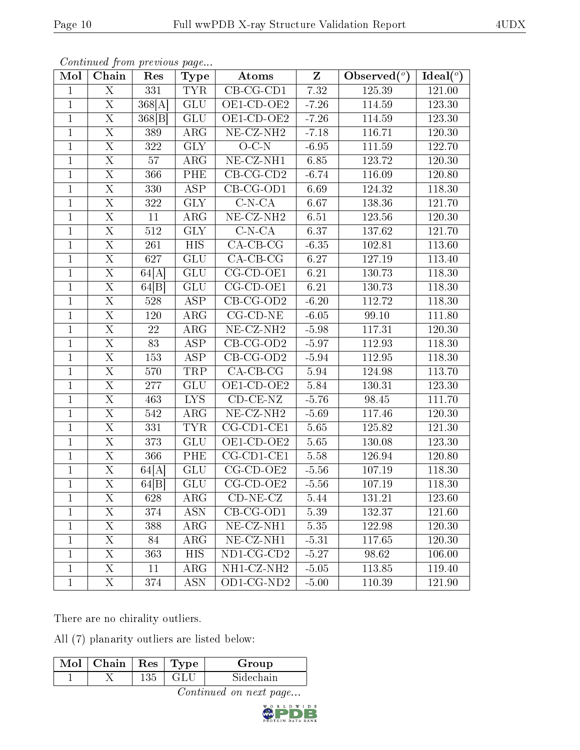|--|--|

| Mol            | contentava promo procto do pago<br>Chain | Res              | $_{\rm Type}$    | <b>Atoms</b>                   | $\overline{z}$ | $\mathrm{Observed}(^\text{o})$ | $\overline{\text{Ideal}({}^o)}$ |
|----------------|------------------------------------------|------------------|------------------|--------------------------------|----------------|--------------------------------|---------------------------------|
| $\mathbf{1}$   | $\overline{X}$                           | 331              | <b>TYR</b>       | $\overline{\text{CB-CG-CD1}}$  | 7.32           | 125.39                         | 121.00                          |
| $\mathbf{1}$   | $\overline{X}$                           | 368[A]           | GLU              | OE1-CD-OE2                     | $-7.26$        | 114.59                         | 123.30                          |
| $\overline{1}$ | $\overline{X}$                           | 368[B]           | GLU              | OE1-CD-OE2                     | $-7.26$        | 114.59                         | 123.30                          |
| $\mathbf{1}$   | $\overline{\mathrm{X}}$                  | 389              | $\rm{ARG}$       | $NE- CZ-NH2$                   | $-7.18$        | 116.71                         | 120.30                          |
| $\mathbf{1}$   | $\overline{\mathrm{X}}$                  | $\overline{322}$ | <b>GLY</b>       | $O-C-N$                        | $-6.95$        | 111.59                         | 122.70                          |
| $\mathbf{1}$   | $\overline{\mathrm{X}}$                  | 57               | $\rm{ARG}$       | NE-CZ-NH1                      | 6.85           | 123.72                         | 120.30                          |
| $\mathbf{1}$   | $\overline{\mathrm{X}}$                  | 366              | PHE              | $CB-CG-CD2$                    | $-6.74$        | 116.09                         | 120.80                          |
| $\mathbf{1}$   | $\overline{\mathrm{X}}$                  | 330              | <b>ASP</b>       | $CB-CG-OD1$                    | 6.69           | 124.32                         | 118.30                          |
| $\mathbf{1}$   | $\mathbf X$                              | 322              | <b>GLY</b>       | $C-N-CA$                       | 6.67           | 138.36                         | 121.70                          |
| $\mathbf{1}$   | $\overline{\mathrm{X}}$                  | 11               | $\rm{ARG}$       | $NE-CZ-NH2$                    | 6.51           | 123.56                         | 120.30                          |
| $\mathbf{1}$   | X                                        | 512              | <b>GLY</b>       | $C-N-CA$                       | 6.37           | 137.62                         | 121.70                          |
| $\overline{1}$ | $\overline{X}$                           | 261              | $\overline{HIS}$ | $CA-CB-CG$                     | $-6.35$        | 102.81                         | 113.60                          |
| $\mathbf{1}$   | $\overline{\mathrm{X}}$                  | 627              | <b>GLU</b>       | $CA-CB-CG$                     | 6.27           | 127.19                         | 113.40                          |
| $\mathbf{1}$   | $\overline{\mathrm{X}}$                  | 64[A]            | <b>GLU</b>       | $CG-CD-OE1$                    | 6.21           | 130.73                         | 118.30                          |
| $\mathbf{1}$   | $\overline{\mathrm{X}}$                  | 64[B]            | <b>GLU</b>       | $CG$ - $CD$ - $OE1$            | 6.21           | 130.73                         | 118.30                          |
| $\mathbf{1}$   | X                                        | 528              | ASP              | $CB-CG-OD2$                    | $-6.20$        | 112.72                         | 118.30                          |
| $\mathbf{1}$   | $\overline{\mathrm{X}}$                  | 120              | $\rm{ARG}$       | $CG$ - $CD$ - $NE$             | $-6.05$        | 99.10                          | 111.80                          |
| $\mathbf{1}$   | X                                        | 22               | $\rm{ARG}$       | $NE- CZ-NH2$                   | $-5.98$        | 117.31                         | 120.30                          |
| $\mathbf{1}$   | $\overline{\mathrm{X}}$                  | 83               | ASP              | $\overline{CB-CG-OD2}$         | $-5.97$        | 112.93                         | 118.30                          |
| $\mathbf{1}$   | $\overline{X}$                           | 153              | ASP              | $CB-CG-OD2$                    | $-5.94$        | 112.95                         | 118.30                          |
| $\mathbf{1}$   | $\overline{\mathrm{X}}$                  | 570              | TRP              | $\overline{CA-CB-CG}$          | 5.94           | 124.98                         | 113.70                          |
| $\mathbf{1}$   | $\overline{\mathrm{X}}$                  | 277              | <b>GLU</b>       | $\overline{\text{OE1-CD-OE2}}$ | 5.84           | 130.31                         | 123.30                          |
| $\mathbf{1}$   | $\mathbf X$                              | 463              | <b>LYS</b>       | $CD$ - $CE$ - $NZ$             | $-5.76$        | 98.45                          | 111.70                          |
| $\mathbf{1}$   | $\overline{\mathrm{X}}$                  | 542              | ARG              | $NE-CZ-NH2$                    | $-5.69$        | 117.46                         | 120.30                          |
| $\overline{1}$ | $\overline{\mathrm{X}}$                  | 331              | <b>TYR</b>       | $CG$ -CD1-CE1                  | 5.65           | 125.82                         | 121.30                          |
| $\overline{1}$ | $\overline{\mathrm{X}}$                  | 373              | <b>GLU</b>       | OE1-CD-OE2                     | 5.65           | 130.08                         | 123.30                          |
| $\mathbf{1}$   | $\overline{\mathrm{X}}$                  | $\overline{366}$ | PHE              | $CG-CD1-CE1$                   | 5.58           | 126.94                         | 120.80                          |
| $\mathbf{1}$   | $\mathbf X$                              | 64[A]            | <b>GLU</b>       | $CG$ - $CD$ - $OE2$            | $-5.56$        | 107.19                         | 118.30                          |
| $\mathbf{1}$   | $\overline{X}$                           | 64 B             | <b>GLU</b>       | $CG$ - $CD$ - $OE2$            | $-5.56$        | 107.19                         | 118.30                          |
| 1              | X.                                       | 628              | $\rm{ARG}$       | $CD-NE- CZ$                    | 5.44           | 131.21                         | 123.60                          |
| $\mathbf{1}$   | X                                        | 374              | <b>ASN</b>       | $CB-CG-OD1$                    | 5.39           | 132.37                         | 121.60                          |
| $\mathbf{1}$   | X                                        | 388              | $\rm{ARG}$       | NE-CZ-NH1                      | 5.35           | 122.98                         | 120.30                          |
| $\mathbf{1}$   | X                                        | 84               | $\rm{ARG}$       | NE-CZ-NH1                      | $-5.31$        | 117.65                         | 120.30                          |
| $\mathbf{1}$   | X                                        | 363              | <b>HIS</b>       | ND1-CG-CD2                     | $-5.27$        | 98.62                          | 106.00                          |
| $\mathbf{1}$   | X                                        | 11               | $\rm{ARG}$       | NH1-CZ-NH2                     | $-5.05$        | 113.85                         | 119.40                          |
| $\mathbf{1}$   | $X_{\cdot}$                              | 374              | <b>ASN</b>       | OD1-CG-ND2                     | $-5.00$        | 110.39                         | 121.90                          |

Continued from previous page.

There are no chirality outliers.

All (7) planarity outliers are listed below:

| Mol | ${\rm Chain \mid Res \mid Type}$ |  |  | Group     |  |
|-----|----------------------------------|--|--|-----------|--|
|     |                                  |  |  | Sidechain |  |
|     |                                  |  |  |           |  |

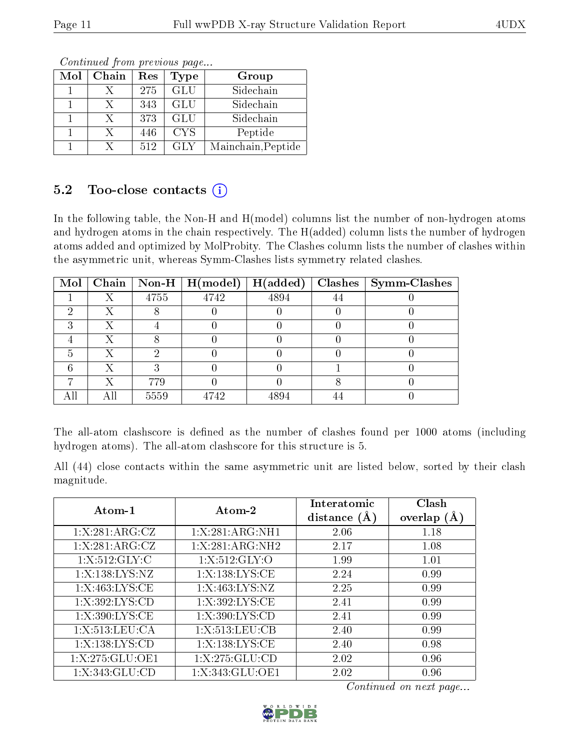| Mol | Chain | $\operatorname{Res}% \left( \mathcal{N}\right) \equiv\operatorname{Res}(\mathcal{N}_{0})\left( \mathcal{N}_{0}\right) ^{2}$ | Type             | Group              |
|-----|-------|-----------------------------------------------------------------------------------------------------------------------------|------------------|--------------------|
|     |       | 275                                                                                                                         | $\overline{GLU}$ | Sidechain          |
|     |       | 343                                                                                                                         | GLU              | Sidechain          |
|     |       | 373                                                                                                                         | GLU              | Sidechain          |
|     | Х     | 446                                                                                                                         | <b>CYS</b>       | Peptide            |
|     |       | 512                                                                                                                         | GLY              | Mainchain, Peptide |

Continued from previous page...

#### 5.2 Too-close contacts  $(i)$

In the following table, the Non-H and H(model) columns list the number of non-hydrogen atoms and hydrogen atoms in the chain respectively. The H(added) column lists the number of hydrogen atoms added and optimized by MolProbity. The Clashes column lists the number of clashes within the asymmetric unit, whereas Symm-Clashes lists symmetry related clashes.

| Mol |      | Chain   Non-H   $H (model)$ | H(added) | Clashes   Symm-Clashes |
|-----|------|-----------------------------|----------|------------------------|
|     | 4755 | 4742                        | 4894     |                        |
|     |      |                             |          |                        |
|     |      |                             |          |                        |
|     |      |                             |          |                        |
|     |      |                             |          |                        |
|     |      |                             |          |                        |
|     | 779  |                             |          |                        |
|     | 5559 | 4742                        |          |                        |

The all-atom clashscore is defined as the number of clashes found per 1000 atoms (including hydrogen atoms). The all-atom clashscore for this structure is 5.

All (44) close contacts within the same asymmetric unit are listed below, sorted by their clash magnitude.

| Atom-1             | Atom-2           | Interatomic<br>distance $(A)$ | Clash<br>overlap $(A)$ |
|--------------------|------------------|-------------------------------|------------------------|
| 1:X:281:ARG:CZ     | 1:X:281:ARG:NH1  | 2.06                          | 1.18                   |
| 1:X:281:ARG:CZ     | 1:X:281:ARG:NH2  | 2.17                          | 1.08                   |
| 1: X:512: GLY: C   | 1:X:512:GLY:O    | 1.99                          | 1.01                   |
| 1:X:138:LYS:NZ     | 1:X:138:LYS:CE   | 2.24                          | 0.99                   |
| 1:X:463:LYS:CE     | 1:X:463:LYS:NZ   | 2.25                          | 0.99                   |
| 1:X:392:LYS:CD     | 1:X:392:LYS:CE   | 2.41                          | 0.99                   |
| 1:X:390:LYS:CE     | 1: X:390: LYS:CD | 2.41                          | 0.99                   |
| 1:X:513:LEU:CA     | 1:X:513:LEU:CB   | 2.40                          | 0.99                   |
| 1:X:138:LYS:CD     | 1:X:138:LYS:CE   | 2.40                          | 0.98                   |
| 1:X:275:GLU:OE1    | 1:X:275:GLU:CD   | 2.02                          | 0.96                   |
| 1: X: 343: GLU: CD | 1:X:343:GLU:OE1  | 2.02                          | 0.96                   |

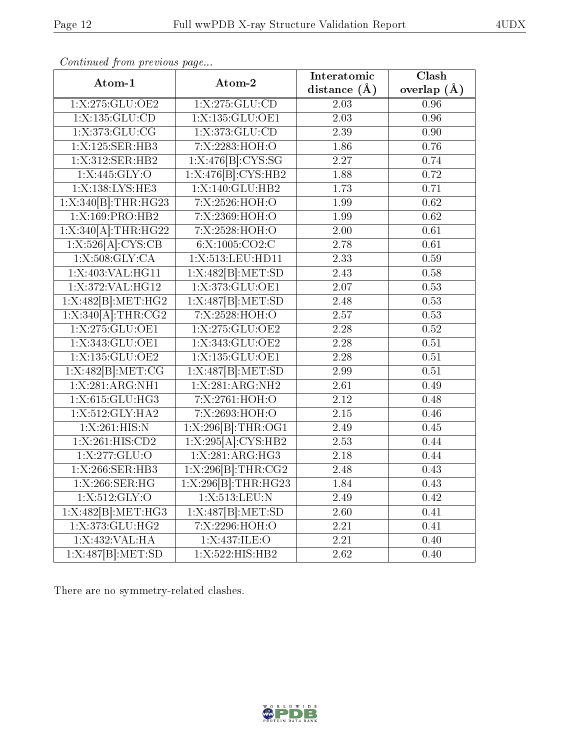| continuu jiont picclow pugu<br>Atom-1 | Atom-2              | Interatomic       | $\overline{\text{Clash}}$ |
|---------------------------------------|---------------------|-------------------|---------------------------|
|                                       |                     | distance $(\AA)$  | overlap $(\AA)$           |
| 1: X: 275: GLU: OE2                   | 1: X: 275: GLU: CD  | 2.03              | $0.\overline{96}$         |
| 1: X: 135: GLU: CD                    | $1:$ X:135:GLU:OE1  | 2.03              | 0.96                      |
| 1: X:373: GLU:CG                      | 1: X: 373: GLU: CD  | 2.39              | 0.90                      |
| 1:X:125:SER:HB3                       | 7:X:2283:HOH:O      | 1.86              | 0.76                      |
| 1:X:312:SER:HB2                       | 1:X:476[B]:CYS:SG   | 2.27              | 0.74                      |
| 1:X:445:GLY:O                         | 1:X:476[B]:CYS:HB2  | 1.88              | 0.72                      |
| 1:X:138:LYS:HE3                       | $1:$ X:140:GLU:HB2  | 1.73              | 0.71                      |
| 1:X:340[B]:THR:HG23                   | 7:X:2526:HOH:O      | 1.99              | $\overline{0.62}$         |
| 1:X:169:PRO:HB2                       | 7:X:2369:HOH:O      | 1.99              | $\overline{0.62}$         |
| $1: X:340[A]:\text{THR}:HG22$         | 7:X:2528:HOH:O      | 2.00              | 0.61                      |
| 1:X:526[A]:CYS:CB                     | 6:X:1005:CO2:C      | 2.78              | 0.61                      |
| 1: X: 508: GLY: CA                    | 1:X:513:LEU:HD11    | 2.33              | 0.59                      |
| 1: X:403: VAL:HGI1                    | 1: X:482[B]: MET:SD | $\overline{2.43}$ | 0.58                      |
| 1:X:372:VAL:HG12                      | 1: X:373: GLU:OE1   | $\overline{2.07}$ | 0.53                      |
| $1:\overline{X:482[B]:MET:HG2}$       | 1: X:487[B]: MET:SD | 2.48              | 0.53                      |
| $1: X:340[A]:\text{THR}:CG2$          | 7:X:2528:HOH:O      | 2.57              | 0.53                      |
| 1: X: 275: GLU: OE1                   | 1: X: 275: GLU: OE2 | 2.28              | 0.52                      |
| 1: X: 343: GLU: OE1                   | 1:X:343:GLU:OE2     | 2.28              | 0.51                      |
| 1:X:135:GLU:OE2                       | 1: X: 135: GLU: OE1 | 2.28              | 0.51                      |
| 1:X:482[B]: MET:CG                    | 1: X:487[B]: MET:SD | 2.99              | 0.51                      |
| 1: X: 281: ARG: NH1                   | 1: X: 281: ARG: NH2 | 2.61              | 0.49                      |
| 1:X:615:GLU:HG3                       | 7:X:2761:HOH:O      | 2.12              | 0.48                      |
| 1: X:512: GLY: HA2                    | 7:X:2693:HOH:O      | 2.15              | 0.46                      |
| 1:X:261:HIS:N                         | 1:X:296[B]:THR:OG1  | 2.49              | 0.45                      |
| 1:X:261:HIS:CD2                       | 1:X:295[A]:CYS:HB2  | 2.53              | 0.44                      |
| 1: X: 277: GLU: O                     | 1: X: 281: ARG: HG3 | 2.18              | 0.44                      |
| 1:X:266:SER:HB3                       | 1:X:296[B]:THR:CG2  | 2.48              | 0.43                      |
| 1:X:266:SER:HG                        | 1:X:296[B]:THR:HG23 | 1.84              | 0.43                      |
| 1:X:512:GLY:O                         | 1:X:513:LEU:N       | 2.49              | 0.42                      |
| 1:X:482[B]:MET:HG3                    | 1:X:487[B]:MET:SD   | 2.60              | 0.41                      |
| 1: X:373: GLU: HG2                    | 7:X:2296:HOH:O      | $\overline{2.21}$ | 0.41                      |
| 1: X:432: VAL: HA                     | 1:X:437:ILE:O       | $\overline{2.21}$ | 0.40                      |
| $1:\overline{X:487[B]:MET:SD}$        | 1:X:522:HIS:HB2     | 2.62              | 0.40                      |

Continued from previous page.

There are no symmetry-related clashes.

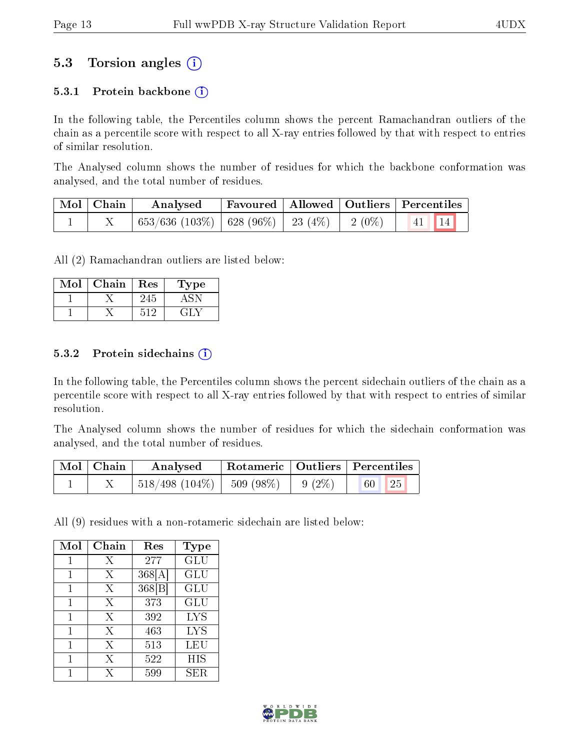### 5.3 Torsion angles (i)

#### 5.3.1 Protein backbone  $(i)$

In the following table, the Percentiles column shows the percent Ramachandran outliers of the chain as a percentile score with respect to all X-ray entries followed by that with respect to entries of similar resolution.

The Analysed column shows the number of residues for which the backbone conformation was analysed, and the total number of residues.

| $\mid$ Mol $\mid$ Chain $\mid$ | Analysed                                                |  | Favoured   Allowed   Outliers   Percentiles |
|--------------------------------|---------------------------------------------------------|--|---------------------------------------------|
|                                | $^{+653/636}$ (103\%)   628 (96\%)   23 (4\%)   2 (0\%) |  | $\vert 41 \vert \vert 14 \vert$             |

All (2) Ramachandran outliers are listed below:

| Mol | Chain | Res  | Type |
|-----|-------|------|------|
|     |       |      |      |
|     |       | ៈ។ ស |      |

#### 5.3.2 Protein sidechains  $(i)$

In the following table, the Percentiles column shows the percent sidechain outliers of the chain as a percentile score with respect to all X-ray entries followed by that with respect to entries of similar resolution.

The Analysed column shows the number of residues for which the sidechain conformation was analysed, and the total number of residues.

| $\text{Mol} \mid \text{Chain}$ | Analysed                       |          | Rotameric   Outliers   Percentiles |  |
|--------------------------------|--------------------------------|----------|------------------------------------|--|
|                                | $518/498$ (104\%)   509 (98\%) | $9(2\%)$ | 25<br>60                           |  |

All (9) residues with a non-rotameric sidechain are listed below:

| Mol | Chain | Res    | <b>Type</b> |
|-----|-------|--------|-------------|
| 1   | Х     | 277    | GLU         |
| 1   | Х     | 368[A] | GLU         |
| 1   | X     | 368 B  | GLU         |
| 1   | Х     | 373    | GLU         |
| 1   | X     | 392    | LYS         |
| 1   | X     | 463    | <b>LYS</b>  |
| 1   | Х     | 513    | LEU         |
| 1   | X     | 522    | HIS         |
|     | X     | 599    | SER.        |

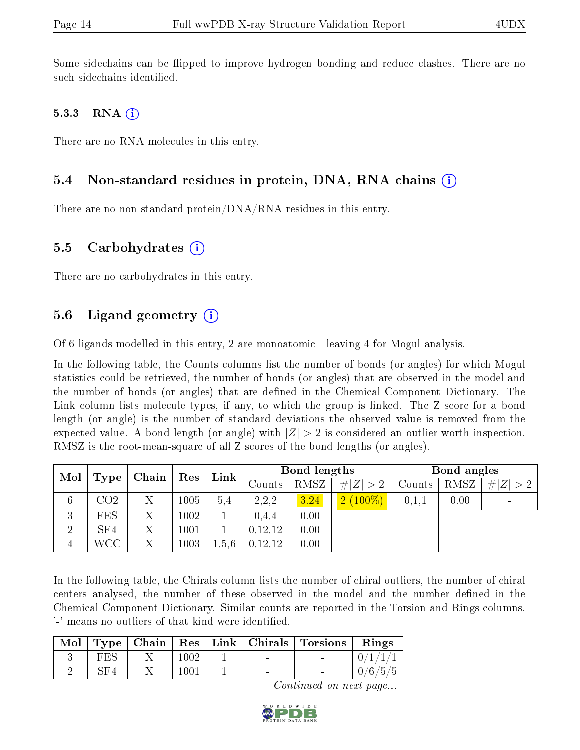Some sidechains can be flipped to improve hydrogen bonding and reduce clashes. There are no such sidechains identified.

#### 5.3.3 RNA  $(i)$

There are no RNA molecules in this entry.

#### 5.4 Non-standard residues in protein, DNA, RNA chains (i)

There are no non-standard protein/DNA/RNA residues in this entry.

#### 5.5 Carbohydrates  $(i)$

There are no carbohydrates in this entry.

#### 5.6 Ligand geometry  $(i)$

Of 6 ligands modelled in this entry, 2 are monoatomic - leaving 4 for Mogul analysis.

In the following table, the Counts columns list the number of bonds (or angles) for which Mogul statistics could be retrieved, the number of bonds (or angles) that are observed in the model and the number of bonds (or angles) that are dened in the Chemical Component Dictionary. The Link column lists molecule types, if any, to which the group is linked. The Z score for a bond length (or angle) is the number of standard deviations the observed value is removed from the expected value. A bond length (or angle) with  $|Z| > 2$  is considered an outlier worth inspection. RMSZ is the root-mean-square of all Z scores of the bond lengths (or angles).

| Mol            |                 | Chain | Bond lengths<br>Link<br>Res |       |         | Bond angles |                              |                          |      |             |
|----------------|-----------------|-------|-----------------------------|-------|---------|-------------|------------------------------|--------------------------|------|-------------|
|                | Type            |       |                             |       | Counts  | <b>RMSZ</b> | # $ Z  > 2$                  | Counts                   | RMSZ | # $ Z  > 2$ |
| 6              | CO <sub>2</sub> |       | $1005\,$                    | 5.4   | 2,2,2   | 3.24        | $2(100\%)$                   | 0,1,1                    | 0.00 |             |
| 3              | <b>FES</b>      |       | $1002\,$                    |       | 0.4.4   | 0.00        | $\overline{\phantom{a}}$     | $\blacksquare$           |      |             |
| $\overline{2}$ | SF4             | Χ     | 1001                        |       | 0,12,12 | 0.00        | $\blacksquare$               | $\overline{\phantom{a}}$ |      |             |
| 4              | WCC             |       | $1003\,$                    | 1.5.6 | 0,12,12 | 0.00        | $\qquad \qquad \blacksquare$ |                          |      |             |

In the following table, the Chirals column lists the number of chiral outliers, the number of chiral centers analysed, the number of these observed in the model and the number defined in the Chemical Component Dictionary. Similar counts are reported in the Torsion and Rings columns. '-' means no outliers of that kind were identified.

| Mol |     |      |                                   | $Type   Chain   Res   Link   Christmas   Torsions$ | Rings   |
|-----|-----|------|-----------------------------------|----------------------------------------------------|---------|
|     | FES | 1002 | <b>Contract Contract Contract</b> | $\sim$                                             |         |
|     | SF4 | 1001 | $\sim$                            |                                                    | 0/6/5/5 |

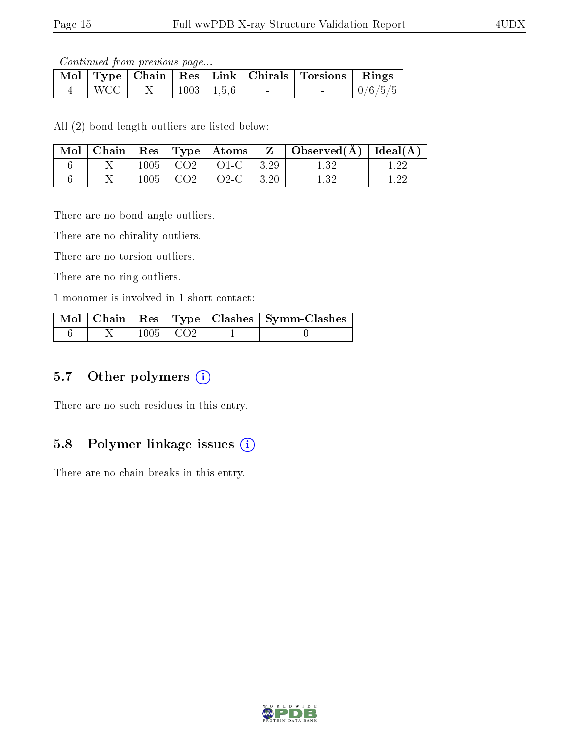Continued from previous page...

|            |  |                | Mol   Type   Chain   Res   Link   Chirals   Torsions   Rings |         |
|------------|--|----------------|--------------------------------------------------------------|---------|
| <b>WCC</b> |  | $1003$   1.5.6 |                                                              | 0/6/5/5 |

All (2) bond length outliers are listed below:

| $\text{Mol}$ |      |                    | $\vert$ Chain $\vert$ Res $\vert$ Type $\vert$ Atoms $\vert$ | $\mathbf{Z}$ | $\vert$ Observed( $\AA$ ) $\vert$ Ideal( $\AA$ ) |  |
|--------------|------|--------------------|--------------------------------------------------------------|--------------|--------------------------------------------------|--|
|              | 1005 | $\sim$ CO2 $^{-1}$ | $O1-C$                                                       | $\vert 3.29$ |                                                  |  |
|              | 1005 | CO <sub>2</sub>    | $O2-C$                                                       | 13.20        |                                                  |  |

There are no bond angle outliers.

There are no chirality outliers.

There are no torsion outliers.

There are no ring outliers.

1 monomer is involved in 1 short contact:

|  |                 | Mol   Chain   Res   Type   Clashes   Symm-Clashes |
|--|-----------------|---------------------------------------------------|
|  | $1005 \mid CO2$ |                                                   |

#### 5.7 [O](https://www.wwpdb.org/validation/2017/XrayValidationReportHelp#nonstandard_residues_and_ligands)ther polymers (i)

There are no such residues in this entry.

#### 5.8 Polymer linkage issues  $(i)$

There are no chain breaks in this entry.

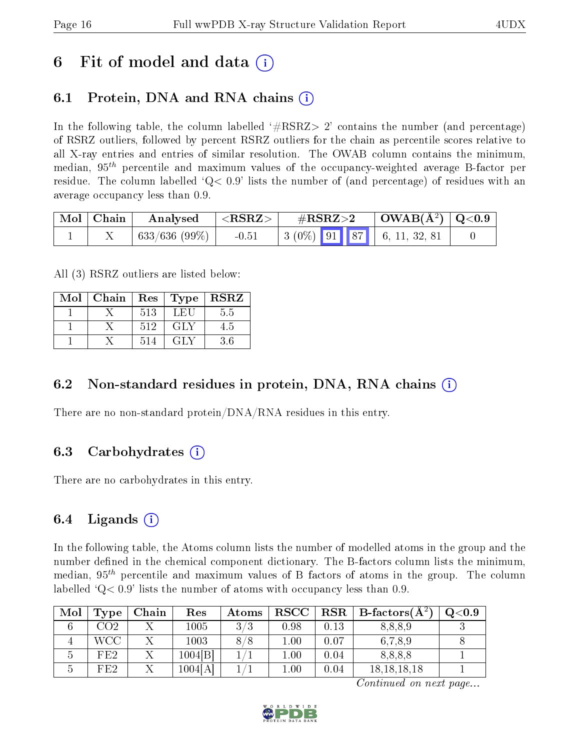### 6 Fit of model and data  $\left( \cdot \right)$

### 6.1 Protein, DNA and RNA chains (i)

In the following table, the column labelled  $#RSRZ>2'$  contains the number (and percentage) of RSRZ outliers, followed by percent RSRZ outliers for the chain as percentile scores relative to all X-ray entries and entries of similar resolution. The OWAB column contains the minimum, median,  $95<sup>th</sup>$  percentile and maximum values of the occupancy-weighted average B-factor per residue. The column labelled  $Q< 0.9$  lists the number of (and percentage) of residues with an average occupancy less than 0.9.

| $\mid$ Mol $\mid$ Chain | Analysed      | $<$ RSRZ $>$ | $\#\mathrm{RSRZ}{>}2$                                                                                | $\mid$ OWAB(Å <sup>2</sup> ) $\mid$ Q<0.9 $\mid$ |  |
|-------------------------|---------------|--------------|------------------------------------------------------------------------------------------------------|--------------------------------------------------|--|
|                         | 633/636 (99%) | $-0.51$      | $\begin{array}{ c c c c c c c c c } \hline 3 & (0\%) & 91 & 87 & 6, 11, 32, 81 \ \hline \end{array}$ |                                                  |  |

All (3) RSRZ outliers are listed below:

| Mol | Chain | $\parallel$ Res $\parallel$ | $\top$ Type | <b>RSRZ</b> |
|-----|-------|-----------------------------|-------------|-------------|
|     |       | 513                         | LEU         | 5.5         |
|     |       | 512                         | GLY         | 4.5         |
|     |       | 514                         | GLY         | 3.6         |

#### 6.2 Non-standard residues in protein, DNA, RNA chains  $(i)$

There are no non-standard protein/DNA/RNA residues in this entry.

#### 6.3 Carbohydrates (i)

There are no carbohydrates in this entry.

#### 6.4 Ligands  $(i)$

In the following table, the Atoms column lists the number of modelled atoms in the group and the number defined in the chemical component dictionary. The B-factors column lists the minimum, median,  $95<sup>th</sup>$  percentile and maximum values of B factors of atoms in the group. The column labelled  $Q< 0.9$ ' lists the number of atoms with occupancy less than 0.9.

| Mol | Type  | Chain | Res     | Atoms | <b>RSCC</b> | RSR  | $_1$ B-factors( $\mathrm{A}^{z_1}$ | $\mathrm{Q}{<}0.9$ |
|-----|-------|-------|---------|-------|-------------|------|------------------------------------|--------------------|
|     | CO2   |       | 1005    | 3/3   | 0.98        | 0.13 | 8,8,8,9                            |                    |
|     | WCC . |       | 1003    | 8/8   | $1.00\,$    | 0.07 | 6,7,8,9                            |                    |
|     | FE2   |       | 1004 B  |       | 1.00        | 0.04 | 8,8,8,8                            |                    |
|     | FE2   |       | 1004[A] |       | $1.00\,$    | 0.04 | 18, 18, 18, 18                     |                    |